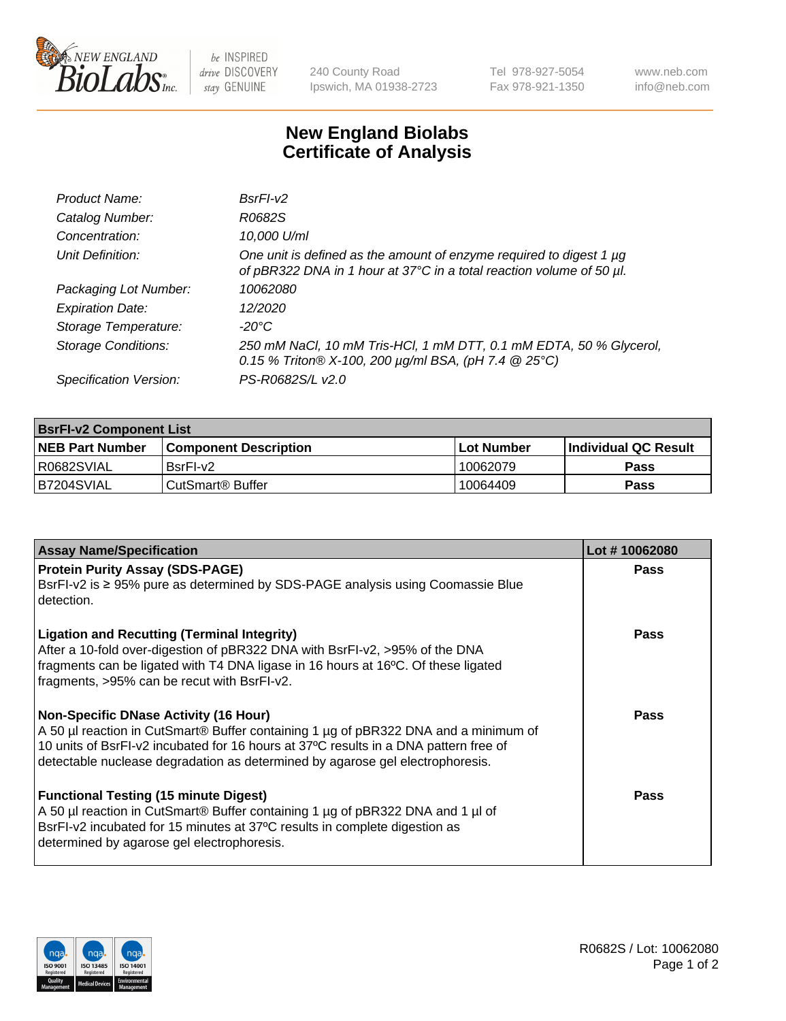

 $be$  INSPIRED drive DISCOVERY stay GENUINE

240 County Road Ipswich, MA 01938-2723 Tel 978-927-5054 Fax 978-921-1350 www.neb.com info@neb.com

## **New England Biolabs Certificate of Analysis**

| Product Name:              | $BsrFI-V2$                                                                                                                                  |
|----------------------------|---------------------------------------------------------------------------------------------------------------------------------------------|
| Catalog Number:            | R0682S                                                                                                                                      |
| Concentration:             | 10,000 U/ml                                                                                                                                 |
| Unit Definition:           | One unit is defined as the amount of enzyme required to digest 1 µg<br>of pBR322 DNA in 1 hour at 37°C in a total reaction volume of 50 µl. |
| Packaging Lot Number:      | 10062080                                                                                                                                    |
| <b>Expiration Date:</b>    | 12/2020                                                                                                                                     |
| Storage Temperature:       | $-20^{\circ}$ C                                                                                                                             |
| <b>Storage Conditions:</b> | 250 mM NaCl, 10 mM Tris-HCl, 1 mM DTT, 0.1 mM EDTA, 50 % Glycerol,<br>0.15 % Triton® X-100, 200 $\mu$ g/ml BSA, (pH 7.4 @ 25°C)             |
| Specification Version:     | PS-R0682S/L v2.0                                                                                                                            |

| <b>BsrFI-v2 Component List</b> |                         |             |                             |  |  |
|--------------------------------|-------------------------|-------------|-----------------------------|--|--|
| <b>NEB Part Number</b>         | l Component Description | ⊺Lot Number | <b>Individual QC Result</b> |  |  |
| I R0682SVIAL                   | BsrFI-v2                | 10062079    | Pass                        |  |  |
| IB7204SVIAL                    | l CutSmart® Buffer_     | 10064409    | Pass                        |  |  |

| <b>Assay Name/Specification</b>                                                                                                                                                                                                                                                                                          | Lot #10062080 |
|--------------------------------------------------------------------------------------------------------------------------------------------------------------------------------------------------------------------------------------------------------------------------------------------------------------------------|---------------|
| <b>Protein Purity Assay (SDS-PAGE)</b><br>BsrFI-v2 is ≥ 95% pure as determined by SDS-PAGE analysis using Coomassie Blue<br>detection.                                                                                                                                                                                   | Pass          |
| <b>Ligation and Recutting (Terminal Integrity)</b><br>After a 10-fold over-digestion of pBR322 DNA with BsrFI-v2, >95% of the DNA<br>fragments can be ligated with T4 DNA ligase in 16 hours at 16°C. Of these ligated<br>fragments, >95% can be recut with BsrFI-v2.                                                    | Pass          |
| <b>Non-Specific DNase Activity (16 Hour)</b><br>A 50 µl reaction in CutSmart <sup>®</sup> Buffer containing 1 µg of pBR322 DNA and a minimum of<br>10 units of BsrFI-v2 incubated for 16 hours at 37°C results in a DNA pattern free of<br>detectable nuclease degradation as determined by agarose gel electrophoresis. | <b>Pass</b>   |
| <b>Functional Testing (15 minute Digest)</b><br>A 50 µl reaction in CutSmart® Buffer containing 1 µg of pBR322 DNA and 1 µl of<br>BsrFI-v2 incubated for 15 minutes at 37°C results in complete digestion as<br>determined by agarose gel electrophoresis.                                                               | Pass          |